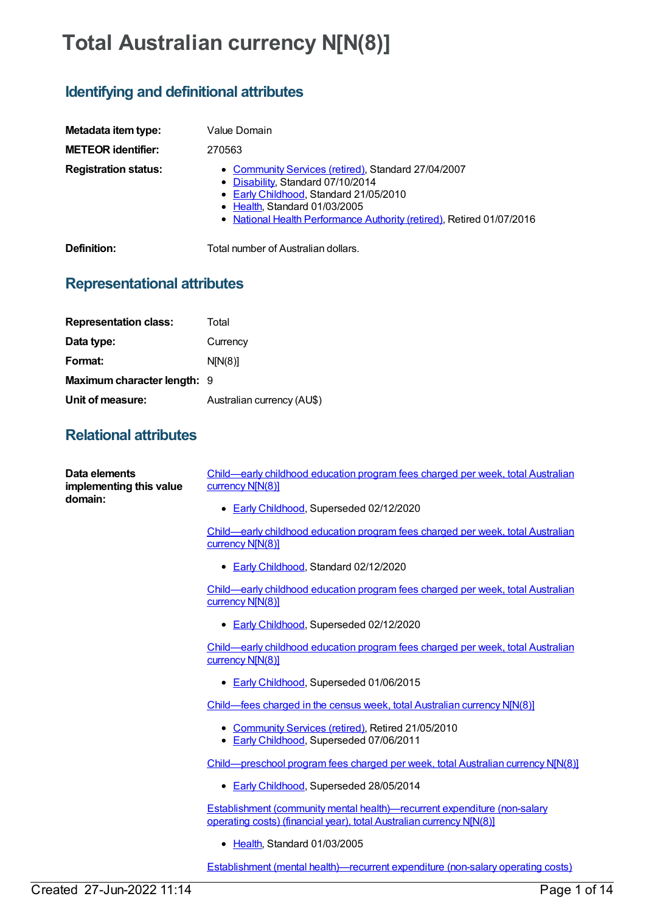## **Total Australian currency N[N(8)]**

## **Identifying and definitional attributes**

| Metadata item type:         | Value Domain                                                                                                                                                                                                                                 |
|-----------------------------|----------------------------------------------------------------------------------------------------------------------------------------------------------------------------------------------------------------------------------------------|
| <b>METEOR identifier:</b>   | 270563                                                                                                                                                                                                                                       |
| <b>Registration status:</b> | • Community Services (retired), Standard 27/04/2007<br>• Disability, Standard 07/10/2014<br>• Early Childhood, Standard 21/05/2010<br>• Health, Standard 01/03/2005<br>• National Health Performance Authority (retired), Retired 01/07/2016 |
| Definition:                 | Total number of Australian dollars.                                                                                                                                                                                                          |

**Representational attributes**

| <b>Representation class:</b> | Total                      |
|------------------------------|----------------------------|
| Data type:                   | Currency                   |
| Format:                      | N[N(8)]                    |
| Maximum character length: 9  |                            |
| Unit of measure:             | Australian currency (AU\$) |
|                              |                            |

## **Relational attributes**

| Data elements<br>implementing this value<br>domain: | Child—early childhood education program fees charged per week, total Australian<br>currency N[N(8)]                                                      |
|-----------------------------------------------------|----------------------------------------------------------------------------------------------------------------------------------------------------------|
|                                                     | Early Childhood, Superseded 02/12/2020                                                                                                                   |
|                                                     | Child—early childhood education program fees charged per week, total Australian<br>currency N[N(8)]                                                      |
|                                                     | • Early Childhood, Standard 02/12/2020                                                                                                                   |
|                                                     | Child-early childhood education program fees charged per week, total Australian<br>currency N[N(8)]                                                      |
|                                                     | • Early Childhood, Superseded 02/12/2020                                                                                                                 |
|                                                     | Child—early childhood education program fees charged per week, total Australian<br>currency N[N(8)]                                                      |
|                                                     | • Early Childhood, Superseded 01/06/2015                                                                                                                 |
|                                                     | Child—fees charged in the census week, total Australian currency N[N(8)]                                                                                 |
|                                                     | • Community Services (retired), Retired 21/05/2010<br>Early Childhood, Superseded 07/06/2011<br>٠                                                        |
|                                                     | Child—preschool program fees charged per week, total Australian currency N[N(8)]                                                                         |
|                                                     | • Early Childhood, Superseded 28/05/2014                                                                                                                 |
|                                                     | <b>Establishment (community mental health)—recurrent expenditure (non-salary</b><br>operating costs) (financial year), total Australian currency N[N(8)] |
|                                                     | • Health, Standard 01/03/2005                                                                                                                            |
|                                                     | <b>Establishment (mental health)—recurrent expenditure (non-salary operating costs)</b>                                                                  |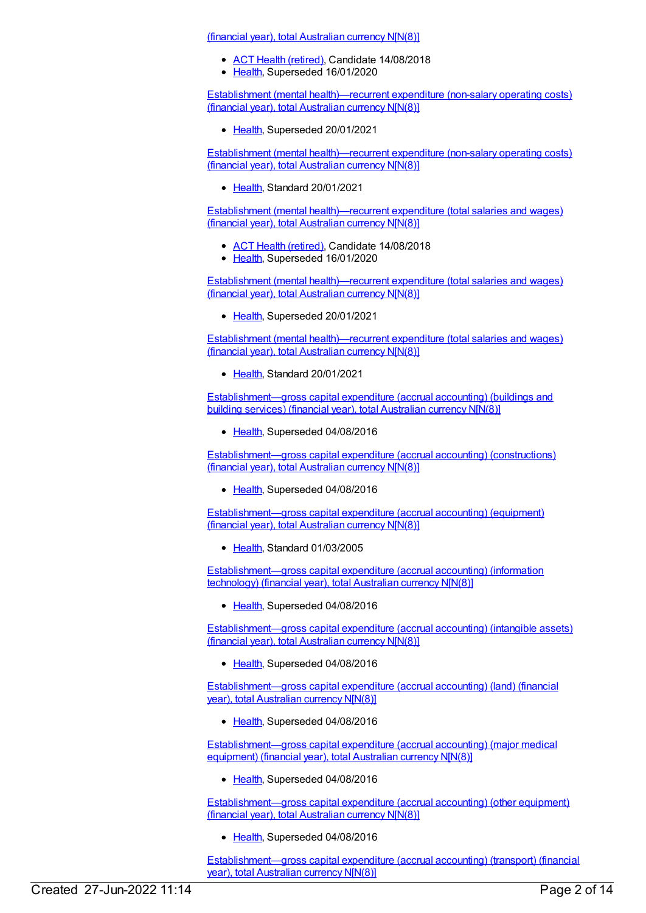(financial year), total Australian currency N[N(8)]

- ACT Health [\(retired\)](https://meteor.aihw.gov.au/RegistrationAuthority/9), Candidate 14/08/2018
- [Health](https://meteor.aihw.gov.au/RegistrationAuthority/12), Superseded 16/01/2020

Establishment (mental [health\)—recurrent](https://meteor.aihw.gov.au/content/722164) expenditure (non-salary operating costs) (financial year), total Australian currency N[N(8)]

• [Health](https://meteor.aihw.gov.au/RegistrationAuthority/12), Superseded 20/01/2021

Establishment (mental [health\)—recurrent](https://meteor.aihw.gov.au/content/737453) expenditure (non-salary operating costs) (financial year), total Australian currency N[N(8)]

[Health](https://meteor.aihw.gov.au/RegistrationAuthority/12), Standard 20/01/2021

Establishment (mental [health\)—recurrent](https://meteor.aihw.gov.au/content/296577) expenditure (total salaries and wages) (financial year), total Australian currency N[N(8)]

- ACT Health [\(retired\)](https://meteor.aihw.gov.au/RegistrationAuthority/9), Candidate 14/08/2018
- [Health](https://meteor.aihw.gov.au/RegistrationAuthority/12), Superseded 16/01/2020

Establishment (mental [health\)—recurrent](https://meteor.aihw.gov.au/content/722155) expenditure (total salaries and wages) (financial year), total Australian currency N[N(8)]

• [Health](https://meteor.aihw.gov.au/RegistrationAuthority/12), Superseded 20/01/2021

Establishment (mental [health\)—recurrent](https://meteor.aihw.gov.au/content/736983) expenditure (total salaries and wages) (financial year), total Australian currency N[N(8)]

[Health](https://meteor.aihw.gov.au/RegistrationAuthority/12), Standard 20/01/2021

[Establishment—gross](https://meteor.aihw.gov.au/content/270521) capital expenditure (accrual accounting) (buildings and building services) (financial year), total Australian currency N[N(8)]

• [Health](https://meteor.aihw.gov.au/RegistrationAuthority/12), Superseded 04/08/2016

[Establishment—gross](https://meteor.aihw.gov.au/content/270526) capital expenditure (accrual accounting) (constructions) (financial year), total Australian currency N[N(8)]

• [Health](https://meteor.aihw.gov.au/RegistrationAuthority/12), Superseded 04/08/2016

[Establishment—gross](https://meteor.aihw.gov.au/content/270525) capital expenditure (accrual accounting) (equipment) (financial year), total Australian currency N[N(8)]

• [Health](https://meteor.aihw.gov.au/RegistrationAuthority/12), Standard 01/03/2005

[Establishment—gross](https://meteor.aihw.gov.au/content/270527) capital expenditure (accrual accounting) (information technology) (financial year), total Australian currency N[N(8)]

• [Health](https://meteor.aihw.gov.au/RegistrationAuthority/12), Superseded 04/08/2016

[Establishment—gross](https://meteor.aihw.gov.au/content/270522) capital expenditure (accrual accounting) (intangible assets) (financial year), total Australian currency N[N(8)]

• [Health](https://meteor.aihw.gov.au/RegistrationAuthority/12), Superseded 04/08/2016

[Establishment—gross](https://meteor.aihw.gov.au/content/270528) capital expenditure (accrual accounting) (land) (financial year), total Australian currency N[N(8)]

• [Health](https://meteor.aihw.gov.au/RegistrationAuthority/12), Superseded 04/08/2016

[Establishment—gross](https://meteor.aihw.gov.au/content/269968) capital expenditure (accrual accounting) (major medical equipment) (financial year), total Australian currency N[N(8)]

• [Health](https://meteor.aihw.gov.au/RegistrationAuthority/12), Superseded 04/08/2016

[Establishment—gross](https://meteor.aihw.gov.au/content/270523) capital expenditure (accrual accounting) (other equipment) (financial year), total Australian currency N[N(8)]

• [Health](https://meteor.aihw.gov.au/RegistrationAuthority/12), Superseded 04/08/2016

[Establishment—gross](https://meteor.aihw.gov.au/content/270524) capital expenditure (accrual accounting) (transport) (financial year), total Australian currency N[N(8)]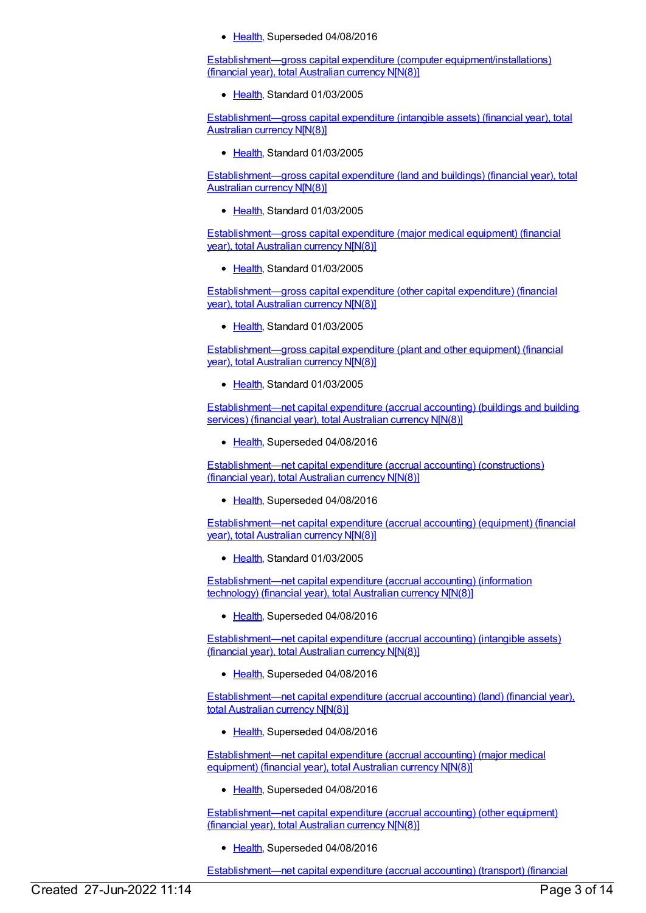• [Health](https://meteor.aihw.gov.au/RegistrationAuthority/12), Superseded 04/08/2016

Establishment—gross capital expenditure (computer [equipment/installations\)](https://meteor.aihw.gov.au/content/270520) (financial year), total Australian currency N[N(8)]

• [Health](https://meteor.aihw.gov.au/RegistrationAuthority/12), Standard 01/03/2005

[Establishment—gross](https://meteor.aihw.gov.au/content/270517) capital expenditure (intangible assets) (financial year), total Australian currency N[N(8)]

• [Health](https://meteor.aihw.gov.au/RegistrationAuthority/12), Standard 01/03/2005

[Establishment—gross](https://meteor.aihw.gov.au/content/270519) capital expenditure (land and buildings) (financial year), total Australian currency N[N(8)]

• [Health](https://meteor.aihw.gov.au/RegistrationAuthority/12), Standard 01/03/2005

[Establishment—gross](https://meteor.aihw.gov.au/content/269966) capital expenditure (major medical equipment) (financial year), total Australian currency N[N(8)]

● [Health](https://meteor.aihw.gov.au/RegistrationAuthority/12), Standard 01/03/2005

[Establishment—gross](https://meteor.aihw.gov.au/content/270516) capital expenditure (other capital expenditure) (financial year), total Australian currency N[N(8)]

• [Health](https://meteor.aihw.gov.au/RegistrationAuthority/12), Standard 01/03/2005

[Establishment—gross](https://meteor.aihw.gov.au/content/270518) capital expenditure (plant and other equipment) (financial year), total Australian currency N[N(8)]

● [Health](https://meteor.aihw.gov.au/RegistrationAuthority/12), Standard 01/03/2005

[Establishment—net](https://meteor.aihw.gov.au/content/269969) capital expenditure (accrual accounting) (buildings and building services) (financial year), total Australian currency N[N(8)]

• [Health](https://meteor.aihw.gov.au/RegistrationAuthority/12), Superseded 04/08/2016

[Establishment—net](https://meteor.aihw.gov.au/content/270531) capital expenditure (accrual accounting) (constructions) (financial year), total Australian currency N[N(8)]

• [Health](https://meteor.aihw.gov.au/RegistrationAuthority/12), Superseded 04/08/2016

[Establishment—net](https://meteor.aihw.gov.au/content/270534) capital expenditure (accrual accounting) (equipment) (financial year), total Australian currency N[N(8)]

• [Health](https://meteor.aihw.gov.au/RegistrationAuthority/12), Standard 01/03/2005

[Establishment—net](https://meteor.aihw.gov.au/content/270529) capital expenditure (accrual accounting) (information technology) (financial year), total Australian currency N[N(8)]

• [Health](https://meteor.aihw.gov.au/RegistrationAuthority/12), Superseded 04/08/2016

[Establishment—net](https://meteor.aihw.gov.au/content/270535) capital expenditure (accrual accounting) (intangible assets) (financial year), total Australian currency N[N(8)]

• [Health](https://meteor.aihw.gov.au/RegistrationAuthority/12), Superseded 04/08/2016

[Establishment—net](https://meteor.aihw.gov.au/content/270536) capital expenditure (accrual accounting) (land) (financial year), total Australian currency N[N(8)]

• [Health](https://meteor.aihw.gov.au/RegistrationAuthority/12), Superseded 04/08/2016

[Establishment—net](https://meteor.aihw.gov.au/content/270530) capital expenditure (accrual accounting) (major medical equipment) (financial year), total Australian currency N[N(8)]

• [Health](https://meteor.aihw.gov.au/RegistrationAuthority/12), Superseded 04/08/2016

[Establishment—net](https://meteor.aihw.gov.au/content/270533) capital expenditure (accrual accounting) (other equipment) (financial year), total Australian currency N[N(8)]

• [Health](https://meteor.aihw.gov.au/RegistrationAuthority/12), Superseded 04/08/2016

[Establishment—net](https://meteor.aihw.gov.au/content/270532) capital expenditure (accrual accounting) (transport) (financial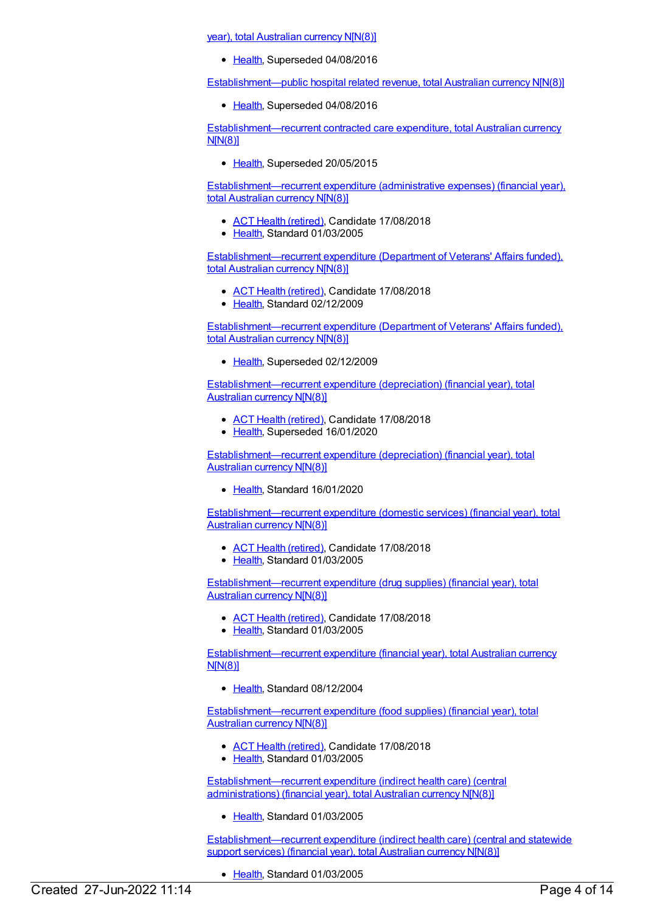year), total Australian currency N[N(8)]

• [Health](https://meteor.aihw.gov.au/RegistrationAuthority/12), Superseded 04/08/2016

[Establishment—public](https://meteor.aihw.gov.au/content/542019) hospital related revenue, total Australian currency N[N(8)]

• [Health](https://meteor.aihw.gov.au/RegistrationAuthority/12), Superseded 04/08/2016

[Establishment—recurrent](https://meteor.aihw.gov.au/content/552596) contracted care expenditure, total Australian currency N[N(8)]

• [Health](https://meteor.aihw.gov.au/RegistrationAuthority/12), Superseded 20/05/2015

[Establishment—recurrent](https://meteor.aihw.gov.au/content/270107) expenditure (administrative expenses) (financial year), total Australian currency N[N(8)]

- ACT Health [\(retired\)](https://meteor.aihw.gov.au/RegistrationAuthority/9), Candidate 17/08/2018
- [Health](https://meteor.aihw.gov.au/RegistrationAuthority/12), Standard 01/03/2005

[Establishment—recurrent](https://meteor.aihw.gov.au/content/377992) expenditure (Department of Veterans' Affairs funded), total Australian currency N[N(8)]

- ACT Health [\(retired\)](https://meteor.aihw.gov.au/RegistrationAuthority/9), Candidate 17/08/2018
- [Health](https://meteor.aihw.gov.au/RegistrationAuthority/12), Standard 02/12/2009

[Establishment—recurrent](https://meteor.aihw.gov.au/content/287031) expenditure (Department of Veterans' Affairs funded), total Australian currency N[N(8)]

• [Health](https://meteor.aihw.gov.au/RegistrationAuthority/12), Superseded 02/12/2009

[Establishment—recurrent](https://meteor.aihw.gov.au/content/270279) expenditure (depreciation) (financial year), total Australian currency N[N(8)]

- ACT Health [\(retired\)](https://meteor.aihw.gov.au/RegistrationAuthority/9), Candidate 17/08/2018
- [Health](https://meteor.aihw.gov.au/RegistrationAuthority/12), Superseded 16/01/2020

[Establishment—recurrent](https://meteor.aihw.gov.au/content/722668) expenditure (depreciation) (financial year), total Australian currency N[N(8)]

• [Health](https://meteor.aihw.gov.au/RegistrationAuthority/12), Standard 16/01/2020

[Establishment—recurrent](https://meteor.aihw.gov.au/content/270283) expenditure (domestic services) (financial year), total Australian currency N[N(8)]

- ACT Health [\(retired\)](https://meteor.aihw.gov.au/RegistrationAuthority/9), Candidate 17/08/2018
- [Health](https://meteor.aihw.gov.au/RegistrationAuthority/12), Standard 01/03/2005

[Establishment—recurrent](https://meteor.aihw.gov.au/content/270282) expenditure (drug supplies) (financial year), total Australian currency N[N(8)]

- ACT Health [\(retired\)](https://meteor.aihw.gov.au/RegistrationAuthority/9), Candidate 17/08/2018
- [Health](https://meteor.aihw.gov.au/RegistrationAuthority/12), Standard 01/03/2005

[Establishment—recurrent](https://meteor.aihw.gov.au/content/288993) expenditure (financial year), total Australian currency N[N(8)]

• [Health](https://meteor.aihw.gov.au/RegistrationAuthority/12), Standard 08/12/2004

[Establishment—recurrent](https://meteor.aihw.gov.au/content/270284) expenditure (food supplies) (financial year), total Australian currency N[N(8)]

- ACT Health [\(retired\)](https://meteor.aihw.gov.au/RegistrationAuthority/9), Candidate 17/08/2018
- [Health](https://meteor.aihw.gov.au/RegistrationAuthority/12), Standard 01/03/2005

[Establishment—recurrent](https://meteor.aihw.gov.au/content/270294) expenditure (indirect health care) (central administrations) (financial year), total Australian currency N[N(8)]

• [Health](https://meteor.aihw.gov.au/RegistrationAuthority/12), Standard 01/03/2005

[Establishment—recurrent](https://meteor.aihw.gov.au/content/270293) expenditure (indirect health care) (central and statewide support services) (financial year), total Australian currency N[N(8)]

• [Health](https://meteor.aihw.gov.au/RegistrationAuthority/12), Standard 01/03/2005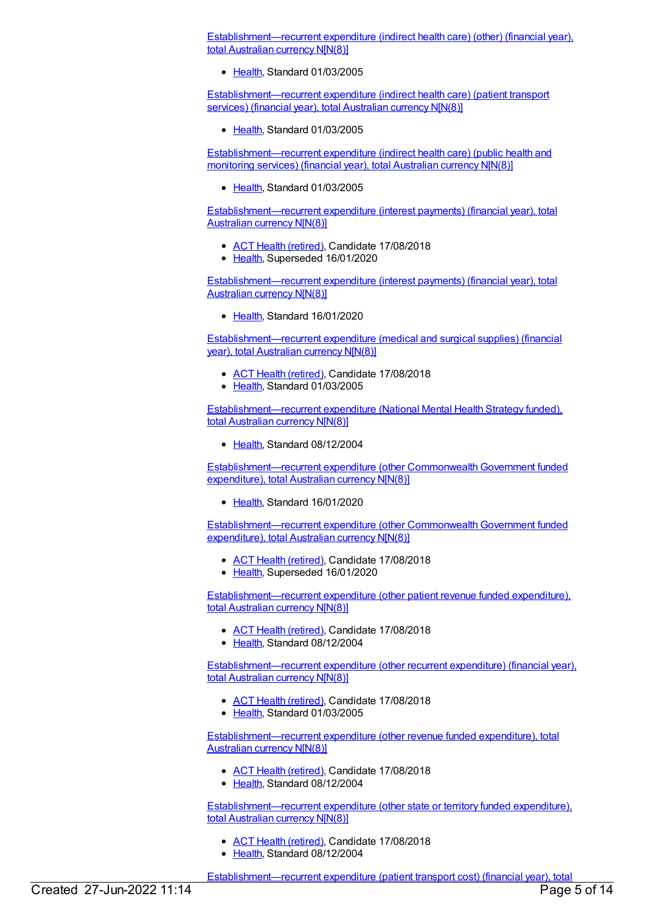[Establishment—recurrent](https://meteor.aihw.gov.au/content/270295) expenditure (indirect health care) (other) (financial year), total Australian currency N[N(8)]

• [Health](https://meteor.aihw.gov.au/RegistrationAuthority/12), Standard 01/03/2005

[Establishment—recurrent](https://meteor.aihw.gov.au/content/270291) expenditure (indirect health care) (patient transport services) (financial year), total Australian currency N[N(8)]

[Health](https://meteor.aihw.gov.au/RegistrationAuthority/12), Standard 01/03/2005

[Establishment—recurrent](https://meteor.aihw.gov.au/content/270292) expenditure (indirect health care) (public health and monitoring services) (financial year), total Australian currency N[N(8)]

[Health](https://meteor.aihw.gov.au/RegistrationAuthority/12), Standard 01/03/2005

[Establishment—recurrent](https://meteor.aihw.gov.au/content/270186) expenditure (interest payments) (financial year), total Australian currency N[N(8)]

- ACT Health [\(retired\)](https://meteor.aihw.gov.au/RegistrationAuthority/9), Candidate 17/08/2018
- [Health](https://meteor.aihw.gov.au/RegistrationAuthority/12), Superseded 16/01/2020

[Establishment—recurrent](https://meteor.aihw.gov.au/content/722670) expenditure (interest payments) (financial year), total Australian currency N[N(8)]

[Health](https://meteor.aihw.gov.au/RegistrationAuthority/12), Standard 16/01/2020

[Establishment—recurrent](https://meteor.aihw.gov.au/content/270358) expenditure (medical and surgical supplies) (financial year), total Australian currency N[N(8)]

- ACT Health [\(retired\)](https://meteor.aihw.gov.au/RegistrationAuthority/9), Candidate 17/08/2018
- [Health](https://meteor.aihw.gov.au/RegistrationAuthority/12), Standard 01/03/2005

[Establishment—recurrent](https://meteor.aihw.gov.au/content/289502) expenditure (National Mental Health Strategy funded), total Australian currency N[N(8)]

[Health](https://meteor.aihw.gov.au/RegistrationAuthority/12), Standard 08/12/2004

Establishment—recurrent expenditure (other Commonwealth Government funded expenditure), total Australian currency N[N(8)]

• [Health](https://meteor.aihw.gov.au/RegistrationAuthority/12), Standard 16/01/2020

Establishment—recurrent expenditure (other [CommonwealthGovernment](https://meteor.aihw.gov.au/content/288031) funded expenditure), total Australian currency N[N(8)]

- ACT Health [\(retired\)](https://meteor.aihw.gov.au/RegistrationAuthority/9), Candidate 17/08/2018
- [Health](https://meteor.aihw.gov.au/RegistrationAuthority/12), Superseded 16/01/2020

[Establishment—recurrent](https://meteor.aihw.gov.au/content/290583) expenditure (other patient revenue funded expenditure), total Australian currency N[N(8)]

- ACT Health [\(retired\)](https://meteor.aihw.gov.au/RegistrationAuthority/9), Candidate 17/08/2018
- [Health](https://meteor.aihw.gov.au/RegistrationAuthority/12), Standard 08/12/2004

[Establishment—recurrent](https://meteor.aihw.gov.au/content/270126) expenditure (other recurrent expenditure) (financial year), total Australian currency N[N(8)]

- ACT Health [\(retired\)](https://meteor.aihw.gov.au/RegistrationAuthority/9), Candidate 17/08/2018
- [Health](https://meteor.aihw.gov.au/RegistrationAuthority/12), Standard 01/03/2005

[Establishment—recurrent](https://meteor.aihw.gov.au/content/288071) expenditure (other revenue funded expenditure), total Australian currency N[N(8)]

- ACT Health [\(retired\)](https://meteor.aihw.gov.au/RegistrationAuthority/9), Candidate 17/08/2018
- [Health](https://meteor.aihw.gov.au/RegistrationAuthority/12), Standard 08/12/2004

[Establishment—recurrent](https://meteor.aihw.gov.au/content/288075) expenditure (other state or territory funded expenditure), total Australian currency N[N(8)]

- ACT Health [\(retired\)](https://meteor.aihw.gov.au/RegistrationAuthority/9), Candidate 17/08/2018
- [Health](https://meteor.aihw.gov.au/RegistrationAuthority/12), Standard 08/12/2004

Establishment—recurrent expenditure (patient transport cost) (financial year), total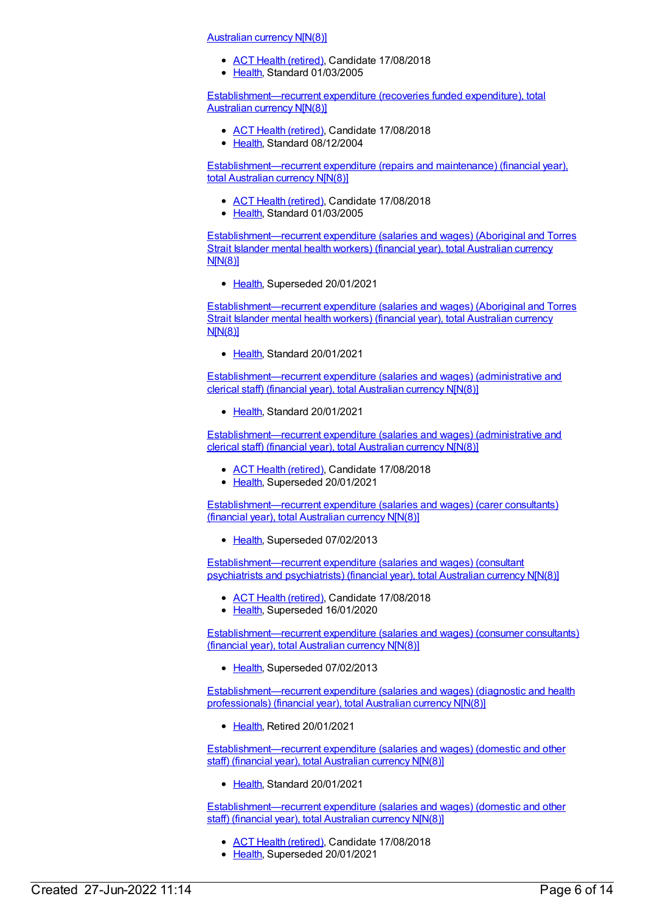[Australian](https://meteor.aihw.gov.au/content/270048) currency N[N(8)]

- ACT Health [\(retired\)](https://meteor.aihw.gov.au/RegistrationAuthority/9), Candidate 17/08/2018
- [Health](https://meteor.aihw.gov.au/RegistrationAuthority/12), Standard 01/03/2005

[Establishment—recurrent](https://meteor.aihw.gov.au/content/288685) expenditure (recoveries funded expenditure), total Australian currency N[N(8)]

- ACT Health [\(retired\)](https://meteor.aihw.gov.au/RegistrationAuthority/9), Candidate 17/08/2018
- [Health](https://meteor.aihw.gov.au/RegistrationAuthority/12), Standard 08/12/2004

[Establishment—recurrent](https://meteor.aihw.gov.au/content/269970) expenditure (repairs and maintenance) (financial year), total Australian currency N[N(8)]

- **ACT Health [\(retired\)](https://meteor.aihw.gov.au/RegistrationAuthority/9), Candidate 17/08/2018**
- [Health](https://meteor.aihw.gov.au/RegistrationAuthority/12), Standard 01/03/2005

[Establishment—recurrent](https://meteor.aihw.gov.au/content/722227) expenditure (salaries and wages) (Aboriginal and Torres Strait Islander mental health workers) (financial year), total Australian currency N[N(8)]

• [Health](https://meteor.aihw.gov.au/RegistrationAuthority/12), Superseded 20/01/2021

[Establishment—recurrent](https://meteor.aihw.gov.au/content/736981) expenditure (salaries and wages) (Aboriginal and Torres Strait Islander mental health workers) (financial year), total Australian currency N[N(8)]

• [Health](https://meteor.aihw.gov.au/RegistrationAuthority/12), Standard 20/01/2021

[Establishment—recurrent](https://meteor.aihw.gov.au/content/736979) expenditure (salaries and wages) (administrative and clerical staff) (financial year), total Australian currency N[N(8)]

• [Health](https://meteor.aihw.gov.au/RegistrationAuthority/12), Standard 20/01/2021

[Establishment—recurrent](https://meteor.aihw.gov.au/content/270275) expenditure (salaries and wages) (administrative and clerical staff) (financial year), total Australian currency N[N(8)]

- ACT Health [\(retired\)](https://meteor.aihw.gov.au/RegistrationAuthority/9), Candidate 17/08/2018
- [Health](https://meteor.aihw.gov.au/RegistrationAuthority/12), Superseded 20/01/2021

[Establishment—recurrent](https://meteor.aihw.gov.au/content/296531) expenditure (salaries and wages) (carer consultants) (financial year), total Australian currency N[N(8)]

• [Health](https://meteor.aihw.gov.au/RegistrationAuthority/12), Superseded 07/02/2013

[Establishment—recurrent](https://meteor.aihw.gov.au/content/288767) expenditure (salaries and wages) (consultant psychiatrists and psychiatrists) (financial year), total Australian currency N[N(8)]

- ACT Health [\(retired\)](https://meteor.aihw.gov.au/RegistrationAuthority/9), Candidate 17/08/2018
- [Health](https://meteor.aihw.gov.au/RegistrationAuthority/12), Superseded 16/01/2020

[Establishment—recurrent](https://meteor.aihw.gov.au/content/296528) expenditure (salaries and wages) (consumer consultants) (financial year), total Australian currency N[N(8)]

• [Health](https://meteor.aihw.gov.au/RegistrationAuthority/12), Superseded 07/02/2013

[Establishment—recurrent](https://meteor.aihw.gov.au/content/270274) expenditure (salaries and wages) (diagnostic and health professionals) (financial year), total Australian currency N[N(8)]

● [Health](https://meteor.aihw.gov.au/RegistrationAuthority/12), Retired 20/01/2021

[Establishment—recurrent](https://meteor.aihw.gov.au/content/736977) expenditure (salaries and wages) (domestic and other staff) (financial year), total Australian currency N[N(8)]

[Health](https://meteor.aihw.gov.au/RegistrationAuthority/12), Standard 20/01/2021

[Establishment—recurrent](https://meteor.aihw.gov.au/content/270276) expenditure (salaries and wages) (domestic and other staff) (financial year), total Australian currency N[N(8)]

- ACT Health [\(retired\)](https://meteor.aihw.gov.au/RegistrationAuthority/9), Candidate 17/08/2018
- [Health](https://meteor.aihw.gov.au/RegistrationAuthority/12), Superseded 20/01/2021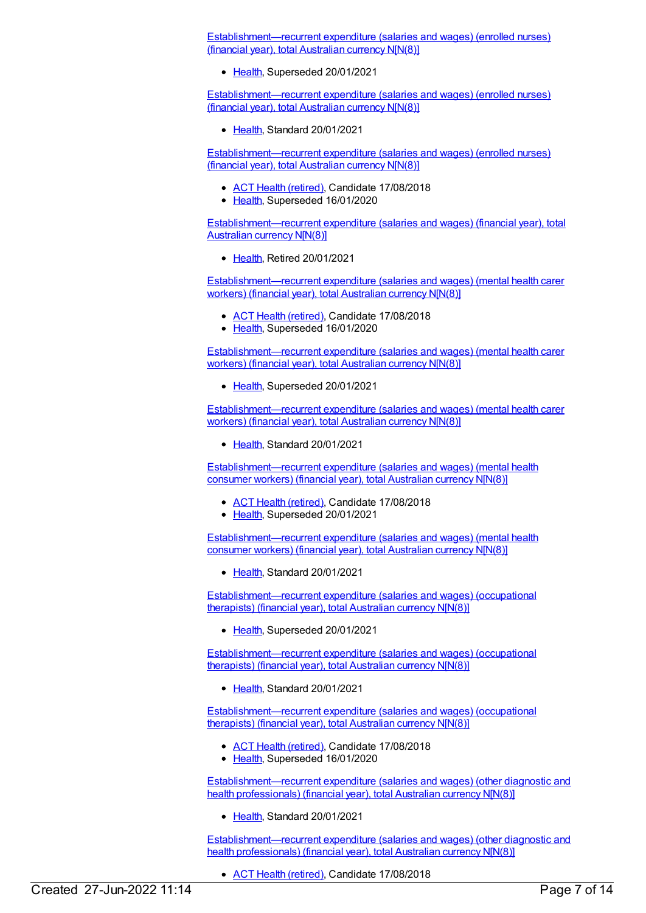[Establishment—recurrent](https://meteor.aihw.gov.au/content/718648) expenditure (salaries and wages) (enrolled nurses) (financial year), total Australian currency N[N(8)]

• [Health](https://meteor.aihw.gov.au/RegistrationAuthority/12), Superseded 20/01/2021

[Establishment—recurrent](https://meteor.aihw.gov.au/content/736975) expenditure (salaries and wages) (enrolled nurses) (financial year), total Australian currency N[N(8)]

● [Health](https://meteor.aihw.gov.au/RegistrationAuthority/12), Standard 20/01/2021

[Establishment—recurrent](https://meteor.aihw.gov.au/content/270270) expenditure (salaries and wages) (enrolled nurses) (financial year), total Australian currency N[N(8)]

- ACT Health [\(retired\)](https://meteor.aihw.gov.au/RegistrationAuthority/9), Candidate 17/08/2018
- [Health](https://meteor.aihw.gov.au/RegistrationAuthority/12), Superseded 16/01/2020

[Establishment—recurrent](https://meteor.aihw.gov.au/content/270470) expenditure (salaries and wages) (financial year), total Australian currency N[N(8)]

• [Health](https://meteor.aihw.gov.au/RegistrationAuthority/12), Retired 20/01/2021

[Establishment—recurrent](https://meteor.aihw.gov.au/content/451432) expenditure (salaries and wages) (mental health carer workers) (financial year), total Australian currency N[N(8)]

- ACT Health [\(retired\)](https://meteor.aihw.gov.au/RegistrationAuthority/9), Candidate 17/08/2018
- [Health](https://meteor.aihw.gov.au/RegistrationAuthority/12), Superseded 16/01/2020

[Establishment—recurrent](https://meteor.aihw.gov.au/content/718709) expenditure (salaries and wages) (mental health carer workers) (financial year), total Australian currency N[N(8)]

• [Health](https://meteor.aihw.gov.au/RegistrationAuthority/12), Superseded 20/01/2021

[Establishment—recurrent](https://meteor.aihw.gov.au/content/736973) expenditure (salaries and wages) (mental health carer workers) (financial year), total Australian currency N[N(8)]

[Health](https://meteor.aihw.gov.au/RegistrationAuthority/12), Standard 20/01/2021

[Establishment—recurrent](https://meteor.aihw.gov.au/content/451428) expenditure (salaries and wages) (mental health consumer workers) (financial year), total Australian currency N[N(8)]

- ACT Health [\(retired\)](https://meteor.aihw.gov.au/RegistrationAuthority/9), Candidate 17/08/2018
- [Health](https://meteor.aihw.gov.au/RegistrationAuthority/12), Superseded 20/01/2021

[Establishment—recurrent](https://meteor.aihw.gov.au/content/736971) expenditure (salaries and wages) (mental health consumer workers) (financial year), total Australian currency N[N(8)]

• [Health](https://meteor.aihw.gov.au/RegistrationAuthority/12), Standard 20/01/2021

[Establishment—recurrent](https://meteor.aihw.gov.au/content/718716) expenditure (salaries and wages) (occupational therapists) (financial year), total Australian currency N[N(8)]

• [Health](https://meteor.aihw.gov.au/RegistrationAuthority/12), Superseded 20/01/2021

[Establishment—recurrent](https://meteor.aihw.gov.au/content/736969) expenditure (salaries and wages) (occupational therapists) (financial year), total Australian currency N[N(8)]

[Health](https://meteor.aihw.gov.au/RegistrationAuthority/12), Standard 20/01/2021

[Establishment—recurrent](https://meteor.aihw.gov.au/content/288778) expenditure (salaries and wages) (occupational therapists) (financial year), total Australian currency N[N(8)]

- ACT Health [\(retired\)](https://meteor.aihw.gov.au/RegistrationAuthority/9), Candidate 17/08/2018
- [Health](https://meteor.aihw.gov.au/RegistrationAuthority/12), Superseded 16/01/2020

[Establishment—recurrent](https://meteor.aihw.gov.au/content/736967) expenditure (salaries and wages) (other diagnostic and health professionals) (financial year), total Australian currency N[N(8)]

• [Health](https://meteor.aihw.gov.au/RegistrationAuthority/12), Standard 20/01/2021

[Establishment—recurrent](https://meteor.aihw.gov.au/content/288786) expenditure (salaries and wages) (other diagnostic and health professionals) (financial year), total Australian currency N[N(8)]

ACT Health [\(retired\)](https://meteor.aihw.gov.au/RegistrationAuthority/9), Candidate 17/08/2018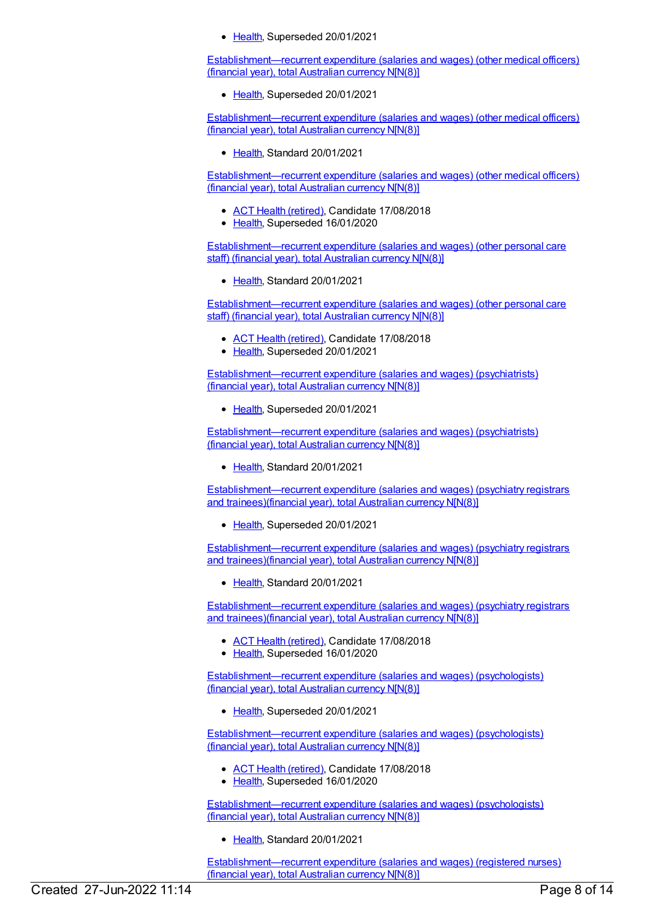• [Health](https://meteor.aihw.gov.au/RegistrationAuthority/12), Superseded 20/01/2021

[Establishment—recurrent](https://meteor.aihw.gov.au/content/718769) expenditure (salaries and wages) (other medical officers) (financial year), total Australian currency N[N(8)]

• [Health](https://meteor.aihw.gov.au/RegistrationAuthority/12), Superseded 20/01/2021

[Establishment—recurrent](https://meteor.aihw.gov.au/content/736933) expenditure (salaries and wages) (other medical officers) (financial year), total Australian currency N[N(8)]

● [Health](https://meteor.aihw.gov.au/RegistrationAuthority/12), Standard 20/01/2021

[Establishment—recurrent](https://meteor.aihw.gov.au/content/288776) expenditure (salaries and wages) (other medical officers) (financial year), total Australian currency N[N(8)]

- ACT Health [\(retired\)](https://meteor.aihw.gov.au/RegistrationAuthority/9), Candidate 17/08/2018
- [Health](https://meteor.aihw.gov.au/RegistrationAuthority/12), Superseded 16/01/2020

[Establishment—recurrent](https://meteor.aihw.gov.au/content/736965) expenditure (salaries and wages) (other personal care staff) (financial year), total Australian currency N[N(8)]

• [Health](https://meteor.aihw.gov.au/RegistrationAuthority/12), Standard 20/01/2021

[Establishment—recurrent](https://meteor.aihw.gov.au/content/270273) expenditure (salaries and wages) (other personal care staff) (financial year), total Australian currency N[N(8)]

- ACT Health [\(retired\)](https://meteor.aihw.gov.au/RegistrationAuthority/9), Candidate 17/08/2018
- [Health](https://meteor.aihw.gov.au/RegistrationAuthority/12), Superseded 20/01/2021

[Establishment—recurrent](https://meteor.aihw.gov.au/content/718789) expenditure (salaries and wages) (psychiatrists) (financial year), total Australian currency N[N(8)]

• [Health](https://meteor.aihw.gov.au/RegistrationAuthority/12), Superseded 20/01/2021

[Establishment—recurrent](https://meteor.aihw.gov.au/content/736961) expenditure (salaries and wages) (psychiatrists) (financial year), total Australian currency N[N(8)]

• [Health](https://meteor.aihw.gov.au/RegistrationAuthority/12), Standard 20/01/2021

[Establishment—recurrent](https://meteor.aihw.gov.au/content/718872) expenditure (salaries and wages) (psychiatry registrars and trainees)(financial year), total Australian currency N[N(8)]

[Health](https://meteor.aihw.gov.au/RegistrationAuthority/12), Superseded 20/01/2021

[Establishment—recurrent](https://meteor.aihw.gov.au/content/736956) expenditure (salaries and wages) (psychiatry registrars and trainees)(financial year), total Australian currency N[N(8)]

[Health](https://meteor.aihw.gov.au/RegistrationAuthority/12), Standard 20/01/2021

[Establishment—recurrent](https://meteor.aihw.gov.au/content/288774) expenditure (salaries and wages) (psychiatry registrars and trainees)(financial year), total Australian currency N[N(8)]

- ACT Health [\(retired\)](https://meteor.aihw.gov.au/RegistrationAuthority/9), Candidate 17/08/2018
- [Health](https://meteor.aihw.gov.au/RegistrationAuthority/12), Superseded 16/01/2020

[Establishment—recurrent](https://meteor.aihw.gov.au/content/722176) expenditure (salaries and wages) (psychologists) (financial year), total Australian currency N[N(8)]

[Health](https://meteor.aihw.gov.au/RegistrationAuthority/12), Superseded 20/01/2021

[Establishment—recurrent](https://meteor.aihw.gov.au/content/288784) expenditure (salaries and wages) (psychologists) (financial year), total Australian currency N[N(8)]

- ACT Health [\(retired\)](https://meteor.aihw.gov.au/RegistrationAuthority/9), Candidate 17/08/2018
- [Health](https://meteor.aihw.gov.au/RegistrationAuthority/12), Superseded 16/01/2020

[Establishment—recurrent](https://meteor.aihw.gov.au/content/736954) expenditure (salaries and wages) (psychologists) (financial year), total Australian currency N[N(8)]

[Health](https://meteor.aihw.gov.au/RegistrationAuthority/12), Standard 20/01/2021

[Establishment—recurrent](https://meteor.aihw.gov.au/content/736950) expenditure (salaries and wages) (registered nurses) (financial year), total Australian currency N[N(8)]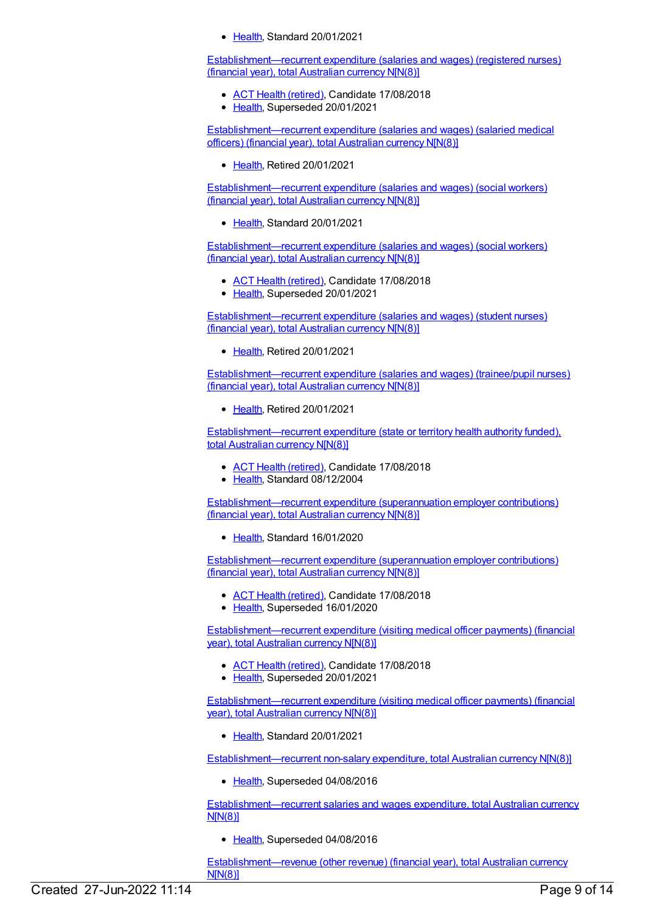[Health](https://meteor.aihw.gov.au/RegistrationAuthority/12), Standard 20/01/2021

[Establishment—recurrent](https://meteor.aihw.gov.au/content/270269) expenditure (salaries and wages) (registered nurses) (financial year), total Australian currency N[N(8)]

- ACT Health [\(retired\)](https://meteor.aihw.gov.au/RegistrationAuthority/9), Candidate 17/08/2018
- [Health](https://meteor.aihw.gov.au/RegistrationAuthority/12), Superseded 20/01/2021

[Establishment—recurrent](https://meteor.aihw.gov.au/content/270265) expenditure (salaries and wages) (salaried medical officers) (financial year), total Australian currency N[N(8)]

[Health](https://meteor.aihw.gov.au/RegistrationAuthority/12), Retired 20/01/2021

[Establishment—recurrent](https://meteor.aihw.gov.au/content/736948) expenditure (salaries and wages) (social workers) (financial year), total Australian currency N[N(8)]

• [Health](https://meteor.aihw.gov.au/RegistrationAuthority/12), Standard 20/01/2021

[Establishment—recurrent](https://meteor.aihw.gov.au/content/288780) expenditure (salaries and wages) (social workers) (financial year), total Australian currency N[N(8)]

- ACT Health [\(retired\)](https://meteor.aihw.gov.au/RegistrationAuthority/9), Candidate 17/08/2018
- [Health](https://meteor.aihw.gov.au/RegistrationAuthority/12), Superseded 20/01/2021

[Establishment—recurrent](https://meteor.aihw.gov.au/content/270271) expenditure (salaries and wages) (student nurses) (financial year), total Australian currency N[N(8)]

• [Health](https://meteor.aihw.gov.au/RegistrationAuthority/12), Retired 20/01/2021

[Establishment—recurrent](https://meteor.aihw.gov.au/content/270272) expenditure (salaries and wages) (trainee/pupil nurses) (financial year), total Australian currency N[N(8)]

• [Health](https://meteor.aihw.gov.au/RegistrationAuthority/12), Retired 20/01/2021

[Establishment—recurrent](https://meteor.aihw.gov.au/content/288965) expenditure (state or territory health authority funded), total Australian currency N[N(8)]

- ACT Health [\(retired\)](https://meteor.aihw.gov.au/RegistrationAuthority/9), Candidate 17/08/2018
- [Health](https://meteor.aihw.gov.au/RegistrationAuthority/12), Standard 08/12/2004

[Establishment—recurrent](https://meteor.aihw.gov.au/content/722672) expenditure (superannuation employer contributions) (financial year), total Australian currency N[N(8)]

• [Health](https://meteor.aihw.gov.au/RegistrationAuthority/12), Standard 16/01/2020

[Establishment—recurrent](https://meteor.aihw.gov.au/content/270371) expenditure (superannuation employer contributions) (financial year), total Australian currency N[N(8)]

- ACT Health [\(retired\)](https://meteor.aihw.gov.au/RegistrationAuthority/9), Candidate 17/08/2018
- [Health](https://meteor.aihw.gov.au/RegistrationAuthority/12), Superseded 16/01/2020

[Establishment—recurrent](https://meteor.aihw.gov.au/content/270049) expenditure (visiting medical officer payments) (financial year), total Australian currency N[N(8)]

- ACT Health [\(retired\)](https://meteor.aihw.gov.au/RegistrationAuthority/9), Candidate 17/08/2018
- [Health](https://meteor.aihw.gov.au/RegistrationAuthority/12), Superseded 20/01/2021

[Establishment—recurrent](https://meteor.aihw.gov.au/content/727426) expenditure (visiting medical officer payments) (financial year), total Australian currency N[N(8)]

• [Health](https://meteor.aihw.gov.au/RegistrationAuthority/12), Standard 20/01/2021

[Establishment—recurrent](https://meteor.aihw.gov.au/content/542155) non-salary expenditure, total Australian currency N[N(8)]

• [Health](https://meteor.aihw.gov.au/RegistrationAuthority/12), Superseded 04/08/2016

[Establishment—recurrent](https://meteor.aihw.gov.au/content/541973) salaries and wages expenditure, total Australian currency N[N(8)]

• [Health](https://meteor.aihw.gov.au/RegistrationAuthority/12), Superseded 04/08/2016

[Establishment—revenue](https://meteor.aihw.gov.au/content/270128) (other revenue) (financial year), total Australian currency N[N(8)]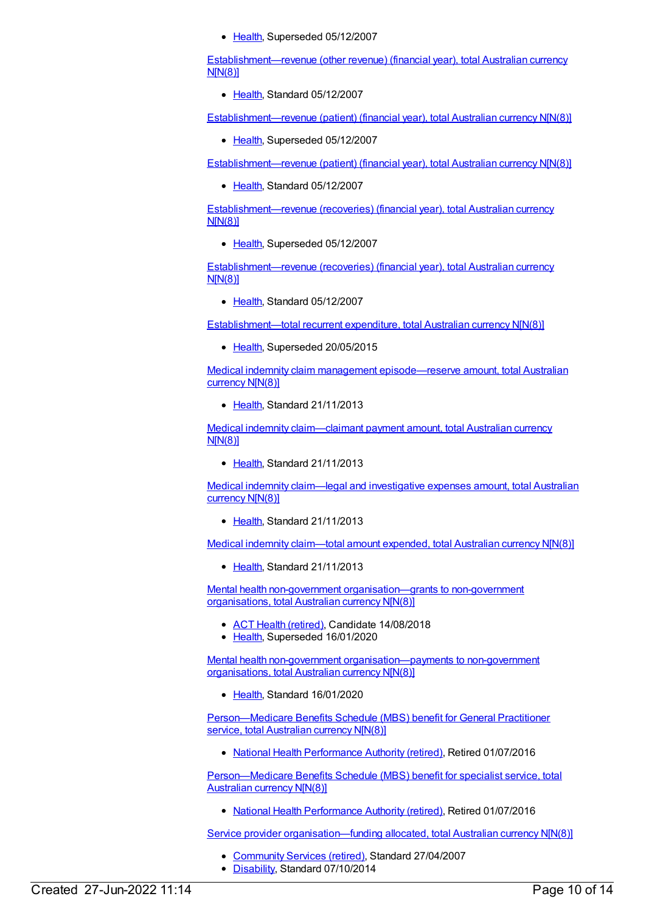• [Health](https://meteor.aihw.gov.au/RegistrationAuthority/12), Superseded 05/12/2007

[Establishment—revenue](https://meteor.aihw.gov.au/content/364799) (other revenue) (financial year), total Australian currency N[N(8)]

• [Health](https://meteor.aihw.gov.au/RegistrationAuthority/12), Standard 05/12/2007

[Establishment—revenue](https://meteor.aihw.gov.au/content/270047) (patient) (financial year), total Australian currency N[N(8)]

• [Health](https://meteor.aihw.gov.au/RegistrationAuthority/12), Superseded 05/12/2007

[Establishment—revenue](https://meteor.aihw.gov.au/content/364797) (patient) (financial year), total Australian currency N[N(8)]

● [Health](https://meteor.aihw.gov.au/RegistrationAuthority/12), Standard 05/12/2007

[Establishment—revenue](https://meteor.aihw.gov.au/content/269974) (recoveries) (financial year), total Australian currency N[N(8)]

• [Health](https://meteor.aihw.gov.au/RegistrationAuthority/12), Superseded 05/12/2007

[Establishment—revenue](https://meteor.aihw.gov.au/content/364805) (recoveries) (financial year), total Australian currency N[N(8)]

• [Health](https://meteor.aihw.gov.au/RegistrationAuthority/12), Standard 05/12/2007

[Establishment—total](https://meteor.aihw.gov.au/content/540165) recurrent expenditure, total Australian currency N[N(8)]

[Health](https://meteor.aihw.gov.au/RegistrationAuthority/12), Superseded 20/05/2015

Medical indemnity claim management [episode—reserve](https://meteor.aihw.gov.au/content/482224) amount, total Australian currency N[N(8)]

• [Health](https://meteor.aihw.gov.au/RegistrationAuthority/12), Standard 21/11/2013

Medical indemnity [claim—claimant](https://meteor.aihw.gov.au/content/482271) payment amount, total Australian currency N[N(8)]

• [Health](https://meteor.aihw.gov.au/RegistrationAuthority/12), Standard 21/11/2013

Medical indemnity [claim—legal](https://meteor.aihw.gov.au/content/482265) and investigative expenses amount, total Australian currency N[N(8)]

• [Health](https://meteor.aihw.gov.au/RegistrationAuthority/12), Standard 21/11/2013

Medical indemnity [claim—total](https://meteor.aihw.gov.au/content/482237) amount expended, total Australian currency N[N(8)]

[Health](https://meteor.aihw.gov.au/RegistrationAuthority/12), Standard 21/11/2013

Mental health non-government [organisation—grants](https://meteor.aihw.gov.au/content/567363) to non-government organisations, total Australian currency N[N(8)]

- ACT Health [\(retired\)](https://meteor.aihw.gov.au/RegistrationAuthority/9), Candidate 14/08/2018
- [Health](https://meteor.aihw.gov.au/RegistrationAuthority/12), Superseded 16/01/2020

Mental health non-government [organisation—payments](https://meteor.aihw.gov.au/content/721707) to non-government organisations, total Australian currency N[N(8)]

• [Health](https://meteor.aihw.gov.au/RegistrationAuthority/12), Standard 16/01/2020

[Person—Medicare](https://meteor.aihw.gov.au/content/556532) Benefits Schedule (MBS) benefit for General Practitioner service, total Australian currency N[N(8)]

• National Health [Performance](https://meteor.aihw.gov.au/RegistrationAuthority/8) Authority (retired), Retired 01/07/2016

[Person—Medicare](https://meteor.aihw.gov.au/content/556892) Benefits Schedule (MBS) benefit for specialist service, total Australian currency N[N(8)]

• National Health [Performance](https://meteor.aihw.gov.au/RegistrationAuthority/8) Authority (retired), Retired 01/07/2016

Service provider [organisation—funding](https://meteor.aihw.gov.au/content/321039) allocated, total Australian currency N[N(8)]

- [Community](https://meteor.aihw.gov.au/RegistrationAuthority/1) Services (retired), Standard 27/04/2007
- [Disability](https://meteor.aihw.gov.au/RegistrationAuthority/16), Standard 07/10/2014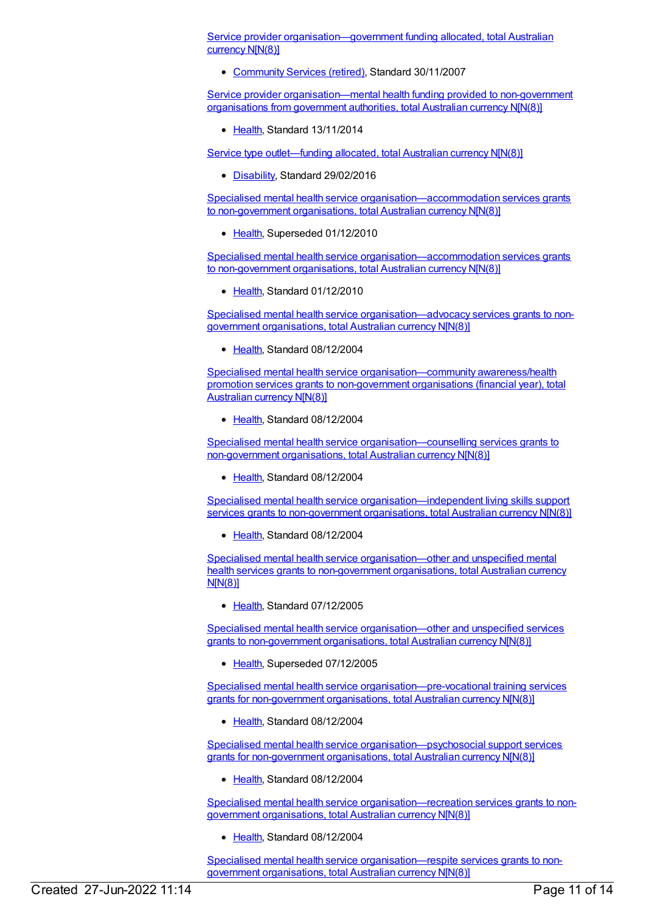Service provider [organisation—government](https://meteor.aihw.gov.au/content/336819) funding allocated, total Australian currency N[N(8)]

[Community](https://meteor.aihw.gov.au/RegistrationAuthority/1) Services (retired), Standard 30/11/2007

Service provider [organisation—mental](https://meteor.aihw.gov.au/content/480798) health funding provided to non-government organisations from government authorities, total Australian currency N[N(8)]

• [Health](https://meteor.aihw.gov.au/RegistrationAuthority/12), Standard 13/11/2014

Service type [outlet—funding](https://meteor.aihw.gov.au/content/621501) allocated, total Australian currency N[N(8)]

[Disability](https://meteor.aihw.gov.au/RegistrationAuthority/16), Standard 29/02/2016

Specialised mental health service [organisation—accommodation](https://meteor.aihw.gov.au/content/296547) services grants to non-government organisations, total Australian currency N[N(8)]

[Health](https://meteor.aihw.gov.au/RegistrationAuthority/12), Superseded 01/12/2010

Specialised mental health service [organisation—accommodation](https://meteor.aihw.gov.au/content/398477) services grants to non-government organisations, total Australian currency N[N(8)]

[Health](https://meteor.aihw.gov.au/RegistrationAuthority/12), Standard 01/12/2010

Specialised mental health service [organisation—advocacy](https://meteor.aihw.gov.au/content/286911) services grants to nongovernment organisations, total Australian currency N[N(8)]

• [Health](https://meteor.aihw.gov.au/RegistrationAuthority/12), Standard 08/12/2004

Specialised mental health service [organisation—community](https://meteor.aihw.gov.au/content/287011) awareness/health promotion services grants to non-government organisations (financial year), total Australian currency N[N(8)]

Ealth, Standard 08/12/2004

Specialised mental health service [organisation—counselling](https://meteor.aihw.gov.au/content/287021) services grants to non-government organisations, total Australian currency N[N(8)]

• [Health](https://meteor.aihw.gov.au/RegistrationAuthority/12), Standard 08/12/2004

Specialised mental health service [organisation—independent](https://meteor.aihw.gov.au/content/296480) living skills support services grants to non-government organisations, total Australian currency N[N(8)]

[Health](https://meteor.aihw.gov.au/RegistrationAuthority/12), Standard 08/12/2004

Specialised mental health service [organisation—other](https://meteor.aihw.gov.au/content/306250) and unspecified mental health services grants to non-government organisations, total Australian currency N[N(8)]

• [Health](https://meteor.aihw.gov.au/RegistrationAuthority/12), Standard 07/12/2005

Specialised mental health service [organisation—other](https://meteor.aihw.gov.au/content/296482) and unspecified services grants to non-government organisations, total Australian currency N[N(8)]

• [Health](https://meteor.aihw.gov.au/RegistrationAuthority/12), Superseded 07/12/2005

Specialised mental health service [organisation—pre-vocational](https://meteor.aihw.gov.au/content/296484) training services grants for non-government organisations, total Australian currency N[N(8)]

• [Health](https://meteor.aihw.gov.au/RegistrationAuthority/12), Standard 08/12/2004

Specialised mental health service [organisation—psychosocial](https://meteor.aihw.gov.au/content/296486) support services grants for non-government organisations, total Australian currency N[N(8)]

● [Health](https://meteor.aihw.gov.au/RegistrationAuthority/12), Standard 08/12/2004

Specialised mental health service [organisation—recreation](https://meteor.aihw.gov.au/content/296488) services grants to nongovernment organisations, total Australian currency N[N(8)]

Ealth, Standard 08/12/2004

Specialised mental health service [organisation—respite](https://meteor.aihw.gov.au/content/296490) services grants to nongovernment organisations, total Australian currency N[N(8)]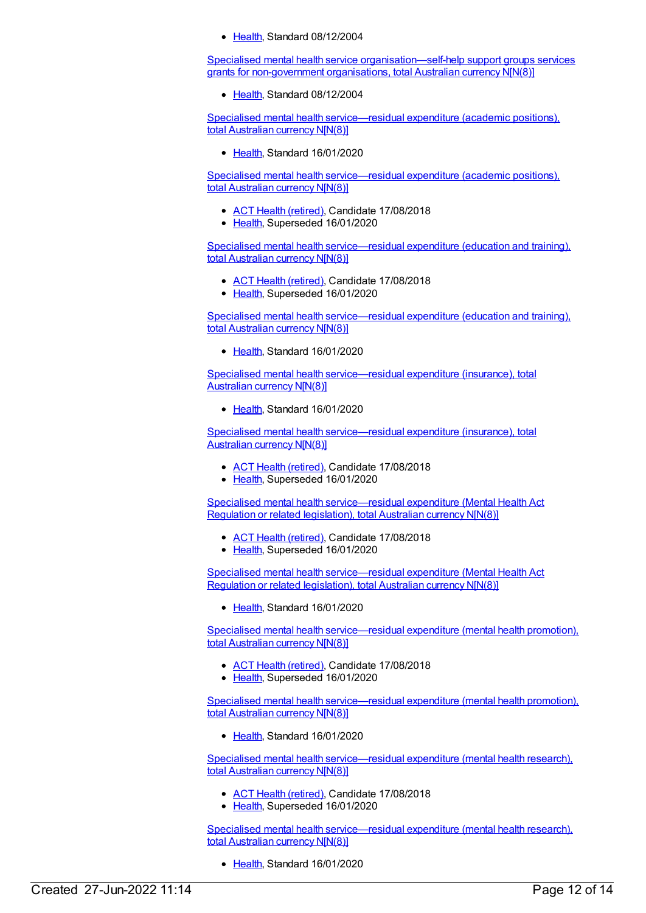• [Health](https://meteor.aihw.gov.au/RegistrationAuthority/12), Standard 08/12/2004

Specialised mental health service [organisation—self-help](https://meteor.aihw.gov.au/content/296492) support groups services grants for non-government organisations, total Australian currency N[N(8)]

• [Health](https://meteor.aihw.gov.au/RegistrationAuthority/12), Standard 08/12/2004

Specialised mental health [service—residual](https://meteor.aihw.gov.au/content/722104) expenditure (academic positions), total Australian currency N[N(8)]

• [Health](https://meteor.aihw.gov.au/RegistrationAuthority/12), Standard 16/01/2020

Specialised mental health [service—residual](https://meteor.aihw.gov.au/content/290151) expenditure (academic positions), total Australian currency N[N(8)]

- ACT Health [\(retired\)](https://meteor.aihw.gov.au/RegistrationAuthority/9), Candidate 17/08/2018
- [Health](https://meteor.aihw.gov.au/RegistrationAuthority/12), Superseded 16/01/2020

Specialised mental health [service—residual](https://meteor.aihw.gov.au/content/290149) expenditure (education and training), total Australian currency N[N(8)]

- ACT Health [\(retired\)](https://meteor.aihw.gov.au/RegistrationAuthority/9), Candidate 17/08/2018
- [Health](https://meteor.aihw.gov.au/RegistrationAuthority/12), Superseded 16/01/2020

Specialised mental health [service—residual](https://meteor.aihw.gov.au/content/722106) expenditure (education and training), total Australian currency N[N(8)]

• [Health](https://meteor.aihw.gov.au/RegistrationAuthority/12), Standard 16/01/2020

Specialised mental health [service—residual](https://meteor.aihw.gov.au/content/722108) expenditure (insurance), total Australian currency N[N(8)]

Ealth, Standard 16/01/2020

Specialised mental health [service—residual](https://meteor.aihw.gov.au/content/290164) expenditure (insurance), total Australian currency N[N(8)]

- ACT Health [\(retired\)](https://meteor.aihw.gov.au/RegistrationAuthority/9), Candidate 17/08/2018
- [Health](https://meteor.aihw.gov.au/RegistrationAuthority/12), Superseded 16/01/2020

Specialised mental health [service—residual](https://meteor.aihw.gov.au/content/376828) expenditure (Mental Health Act Regulation or related legislation), total Australian currency N[N(8)]

- ACT Health [\(retired\)](https://meteor.aihw.gov.au/RegistrationAuthority/9), Candidate 17/08/2018
- [Health](https://meteor.aihw.gov.au/RegistrationAuthority/12), Superseded 16/01/2020

Specialised mental health [service—residual](https://meteor.aihw.gov.au/content/722127) expenditure (Mental Health Act Regulation or related legislation), total Australian currency N[N(8)]

Lealth, Standard 16/01/2020

Specialised mental health [service—residual](https://meteor.aihw.gov.au/content/290156) expenditure (mental health promotion), total Australian currency N[N(8)]

- ACT Health [\(retired\)](https://meteor.aihw.gov.au/RegistrationAuthority/9), Candidate 17/08/2018
- [Health](https://meteor.aihw.gov.au/RegistrationAuthority/12), Superseded 16/01/2020

Specialised mental health [service—residual](https://meteor.aihw.gov.au/content/722129) expenditure (mental health promotion), total Australian currency N[N(8)]

[Health](https://meteor.aihw.gov.au/RegistrationAuthority/12), Standard 16/01/2020

Specialised mental health [service—residual](https://meteor.aihw.gov.au/content/290153) expenditure (mental health research), total Australian currency N[N(8)]

- ACT Health [\(retired\)](https://meteor.aihw.gov.au/RegistrationAuthority/9), Candidate 17/08/2018
- [Health](https://meteor.aihw.gov.au/RegistrationAuthority/12), Superseded 16/01/2020

Specialised mental health [service—residual](https://meteor.aihw.gov.au/content/722131) expenditure (mental health research), total Australian currency N[N(8)]

• [Health](https://meteor.aihw.gov.au/RegistrationAuthority/12), Standard 16/01/2020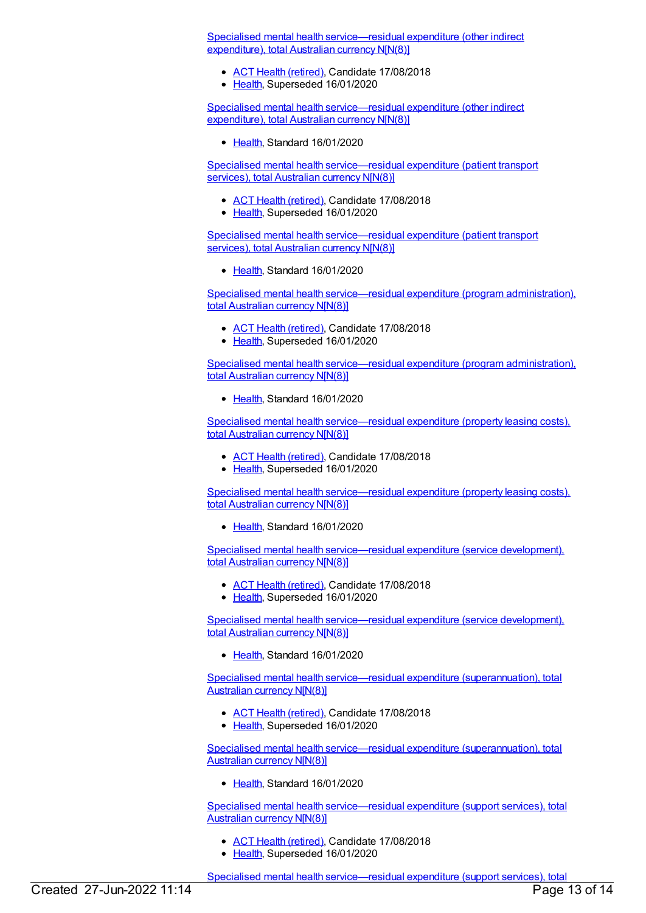Specialised mental health [service—residual](https://meteor.aihw.gov.au/content/290187) expenditure (other indirect expenditure), total Australian currency N[N(8)]

- ACT Health [\(retired\)](https://meteor.aihw.gov.au/RegistrationAuthority/9), Candidate 17/08/2018
- [Health](https://meteor.aihw.gov.au/RegistrationAuthority/12), Superseded 16/01/2020

Specialised mental health [service—residual](https://meteor.aihw.gov.au/content/722133) expenditure (other indirect expenditure), total Australian currency N[N(8)]

• [Health](https://meteor.aihw.gov.au/RegistrationAuthority/12), Standard 16/01/2020

Specialised mental health [service—residual](https://meteor.aihw.gov.au/content/290183) expenditure (patient transport services), total Australian currency N[N(8)]

- ACT Health [\(retired\)](https://meteor.aihw.gov.au/RegistrationAuthority/9), Candidate 17/08/2018
- [Health](https://meteor.aihw.gov.au/RegistrationAuthority/12), Superseded 16/01/2020

Specialised mental health [service—residual](https://meteor.aihw.gov.au/content/722135) expenditure (patient transport services), total Australian currency N[N(8)]

• [Health](https://meteor.aihw.gov.au/RegistrationAuthority/12), Standard 16/01/2020

Specialised mental health [service—residual](https://meteor.aihw.gov.au/content/290145) expenditure (program administration), total Australian currency N[N(8)]

- ACT Health [\(retired\)](https://meteor.aihw.gov.au/RegistrationAuthority/9), Candidate 17/08/2018
- [Health](https://meteor.aihw.gov.au/RegistrationAuthority/12), Superseded 16/01/2020

Specialised mental health [service—residual](https://meteor.aihw.gov.au/content/722137) expenditure (program administration), total Australian currency N[N(8)]

[Health](https://meteor.aihw.gov.au/RegistrationAuthority/12), Standard 16/01/2020

Specialised mental health [service—residual](https://meteor.aihw.gov.au/content/290185) expenditure (property leasing costs), total Australian currency N[N(8)]

- ACT Health [\(retired\)](https://meteor.aihw.gov.au/RegistrationAuthority/9), Candidate 17/08/2018
- [Health](https://meteor.aihw.gov.au/RegistrationAuthority/12), Superseded 16/01/2020

Specialised mental health [service—residual](https://meteor.aihw.gov.au/content/722139) expenditure (property leasing costs), total Australian currency N[N(8)]

• [Health](https://meteor.aihw.gov.au/RegistrationAuthority/12), Standard 16/01/2020

Specialised mental health [service—residual](https://meteor.aihw.gov.au/content/373040) expenditure (service development), total Australian currency N[N(8)]

- ACT Health [\(retired\)](https://meteor.aihw.gov.au/RegistrationAuthority/9), Candidate 17/08/2018
- [Health](https://meteor.aihw.gov.au/RegistrationAuthority/12), Superseded 16/01/2020

Specialised mental health [service—residual](https://meteor.aihw.gov.au/content/722141) expenditure (service development), total Australian currency N[N(8)]

• [Health](https://meteor.aihw.gov.au/RegistrationAuthority/12), Standard 16/01/2020

Specialised mental health [service—residual](https://meteor.aihw.gov.au/content/290158) expenditure (superannuation), total Australian currency N[N(8)]

- ACT Health [\(retired\)](https://meteor.aihw.gov.au/RegistrationAuthority/9), Candidate 17/08/2018
- [Health](https://meteor.aihw.gov.au/RegistrationAuthority/12), Superseded 16/01/2020

Specialised mental health [service—residual](https://meteor.aihw.gov.au/content/722145) expenditure (superannuation), total Australian currency N[N(8)]

• [Health](https://meteor.aihw.gov.au/RegistrationAuthority/12), Standard 16/01/2020

Specialised mental health [service—residual](https://meteor.aihw.gov.au/content/290147) expenditure (support services), total Australian currency N[N(8)]

- ACT Health [\(retired\)](https://meteor.aihw.gov.au/RegistrationAuthority/9), Candidate 17/08/2018
- [Health](https://meteor.aihw.gov.au/RegistrationAuthority/12), Superseded 16/01/2020

Specialised mental health service—residual expenditure (support services), total